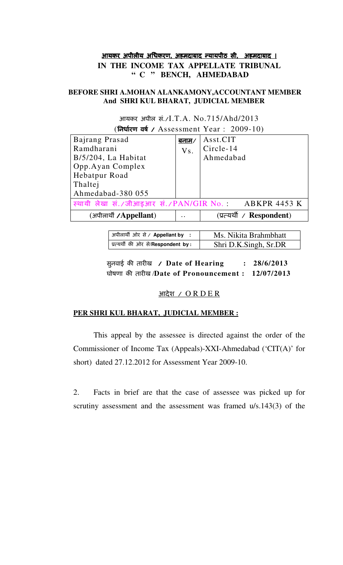# <u>आयकर अपीलीय अधिकरण, अहमदाबाद न्यायपीठ सी, अहमदाबाद ।</u> **IN THE INCOME TAX APPELLATE TRIBUNAL " C " BENCH, AHMEDABAD**

## **BEFORE SHRI A.MOHAN ALANKAMONY,ACCOUNTANT MEMBER And SHRI KUL BHARAT, JUDICIAL MEMBER**

| (निर्धारण वर्ष / Assessment Year : 2009-10)         |                      |                           |
|-----------------------------------------------------|----------------------|---------------------------|
| Bajrang Prasad                                      | <u>बनाम/</u>         | Asst.CIT                  |
| Ramdharani                                          | Vs.                  | $\vert$ Circle-14         |
| $B/5/204$ , La Habitat                              |                      | Ahmedabad                 |
| Opp.Ayan Complex                                    |                      |                           |
| Hebatpur Road                                       |                      |                           |
| Thaltej                                             |                      |                           |
| Ahmedabad-380 055                                   |                      |                           |
| स्थायी लेखा सं./जीआइआर सं./PAN/GIR No. ABKPR 4453 K |                      |                           |
| (अपीलार्थी /Appellant)                              | $\ddot{\phantom{0}}$ | (प्रत्यर्थी / Respondent) |

आयकर अपील सं./I.T.A. No.715/Ahd/2013

| अपीलार्थी ओर से / Appellant by             | Ms. Nikita Brahmbhatt |
|--------------------------------------------|-----------------------|
| प्रत्यर्थी की ओर से/ <b>Respondent by:</b> | Shri D.K.Singh, Sr.DR |

सूनवाई की तारीख / Date of Hearing : 28/6/2013 घोषणा क( तार,ख /**Date of Pronouncement : 12/07/2013** 

## <u>आदेश /  $\overline{O}$  R D E R</u>

## **PER SHRI KUL BHARAT, JUDICIAL MEMBER :**

 This appeal by the assessee is directed against the order of the Commissioner of Income Tax (Appeals)-XXI-Ahmedabad ('CIT(A)' for short) dated 27.12.2012 for Assessment Year 2009-10.

2. Facts in brief are that the case of assessee was picked up for scrutiny assessment and the assessment was framed u/s.143(3) of the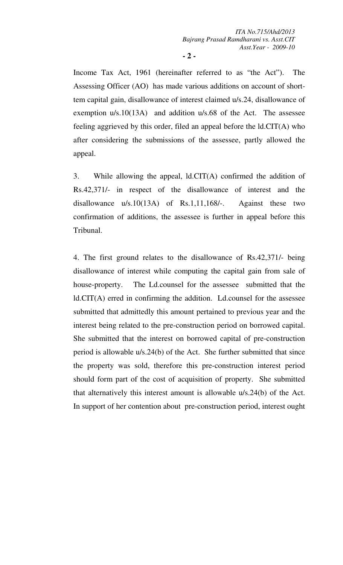**- 2 -** 

Income Tax Act, 1961 (hereinafter referred to as "the Act"). The Assessing Officer (AO) has made various additions on account of shorttem capital gain, disallowance of interest claimed u/s.24, disallowance of exemption u/s.10(13A) and addition u/s.68 of the Act. The assessee feeling aggrieved by this order, filed an appeal before the ld.CIT(A) who after considering the submissions of the assessee, partly allowed the appeal.

3. While allowing the appeal, ld.CIT(A) confirmed the addition of Rs.42,371/- in respect of the disallowance of interest and the disallowance u/s.10(13A) of Rs.1,11,168/-. Against these two confirmation of additions, the assessee is further in appeal before this Tribunal.

4. The first ground relates to the disallowance of Rs.42,371/- being disallowance of interest while computing the capital gain from sale of house-property. The Ld.counsel for the assessee submitted that the ld.CIT(A) erred in confirming the addition. Ld.counsel for the assessee submitted that admittedly this amount pertained to previous year and the interest being related to the pre-construction period on borrowed capital. She submitted that the interest on borrowed capital of pre-construction period is allowable u/s.24(b) of the Act. She further submitted that since the property was sold, therefore this pre-construction interest period should form part of the cost of acquisition of property. She submitted that alternatively this interest amount is allowable u/s.24(b) of the Act. In support of her contention about pre-construction period, interest ought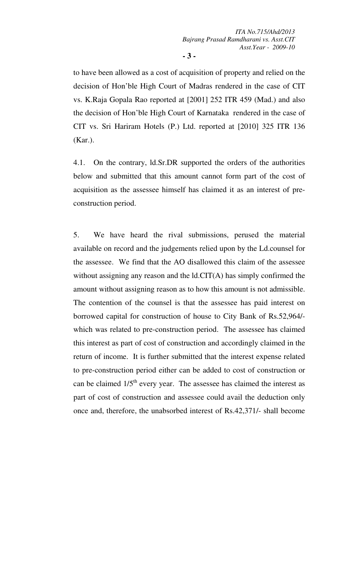**- 3 -** 

to have been allowed as a cost of acquisition of property and relied on the decision of Hon'ble High Court of Madras rendered in the case of CIT vs. K.Raja Gopala Rao reported at [2001] 252 ITR 459 (Mad.) and also the decision of Hon'ble High Court of Karnataka rendered in the case of CIT vs. Sri Hariram Hotels (P.) Ltd. reported at [2010] 325 ITR 136 (Kar.).

4.1. On the contrary, ld.Sr.DR supported the orders of the authorities below and submitted that this amount cannot form part of the cost of acquisition as the assessee himself has claimed it as an interest of preconstruction period.

5. We have heard the rival submissions, perused the material available on record and the judgements relied upon by the Ld.counsel for the assessee. We find that the AO disallowed this claim of the assessee without assigning any reason and the ld.CIT(A) has simply confirmed the amount without assigning reason as to how this amount is not admissible. The contention of the counsel is that the assessee has paid interest on borrowed capital for construction of house to City Bank of Rs.52,964/ which was related to pre-construction period. The assessee has claimed this interest as part of cost of construction and accordingly claimed in the return of income. It is further submitted that the interest expense related to pre-construction period either can be added to cost of construction or can be claimed  $1/5<sup>th</sup>$  every year. The assessee has claimed the interest as part of cost of construction and assessee could avail the deduction only once and, therefore, the unabsorbed interest of Rs.42,371/- shall become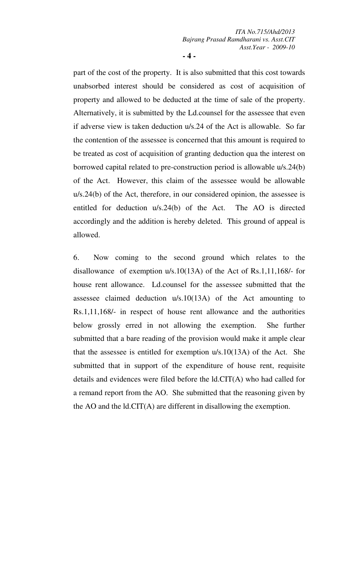**- 4 -** 

part of the cost of the property. It is also submitted that this cost towards unabsorbed interest should be considered as cost of acquisition of property and allowed to be deducted at the time of sale of the property. Alternatively, it is submitted by the Ld.counsel for the assessee that even if adverse view is taken deduction u/s.24 of the Act is allowable. So far the contention of the assessee is concerned that this amount is required to be treated as cost of acquisition of granting deduction qua the interest on borrowed capital related to pre-construction period is allowable u/s.24(b) of the Act. However, this claim of the assessee would be allowable u/s.24(b) of the Act, therefore, in our considered opinion, the assessee is entitled for deduction u/s.24(b) of the Act. The AO is directed accordingly and the addition is hereby deleted. This ground of appeal is allowed.

6. Now coming to the second ground which relates to the disallowance of exemption u/s.10(13A) of the Act of Rs.1,11,168/- for house rent allowance. Ld.counsel for the assessee submitted that the assessee claimed deduction u/s.10(13A) of the Act amounting to Rs.1,11,168/- in respect of house rent allowance and the authorities below grossly erred in not allowing the exemption. She further submitted that a bare reading of the provision would make it ample clear that the assessee is entitled for exemption u/s.10(13A) of the Act. She submitted that in support of the expenditure of house rent, requisite details and evidences were filed before the ld.CIT(A) who had called for a remand report from the AO. She submitted that the reasoning given by the AO and the ld.CIT(A) are different in disallowing the exemption.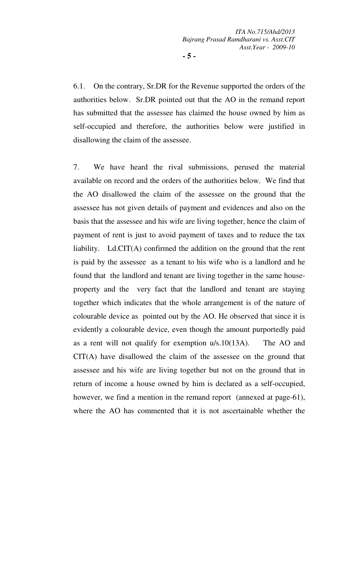6.1. On the contrary, Sr.DR for the Revenue supported the orders of the authorities below. Sr.DR pointed out that the AO in the remand report has submitted that the assessee has claimed the house owned by him as self-occupied and therefore, the authorities below were justified in disallowing the claim of the assessee.

7. We have heard the rival submissions, perused the material available on record and the orders of the authorities below. We find that the AO disallowed the claim of the assessee on the ground that the assessee has not given details of payment and evidences and also on the basis that the assessee and his wife are living together, hence the claim of payment of rent is just to avoid payment of taxes and to reduce the tax liability. Ld.CIT(A) confirmed the addition on the ground that the rent is paid by the assessee as a tenant to his wife who is a landlord and he found that the landlord and tenant are living together in the same houseproperty and the very fact that the landlord and tenant are staying together which indicates that the whole arrangement is of the nature of colourable device as pointed out by the AO. He observed that since it is evidently a colourable device, even though the amount purportedly paid as a rent will not qualify for exemption u/s.10(13A). The AO and CIT(A) have disallowed the claim of the assessee on the ground that assessee and his wife are living together but not on the ground that in return of income a house owned by him is declared as a self-occupied, however, we find a mention in the remand report (annexed at page-61), where the AO has commented that it is not ascertainable whether the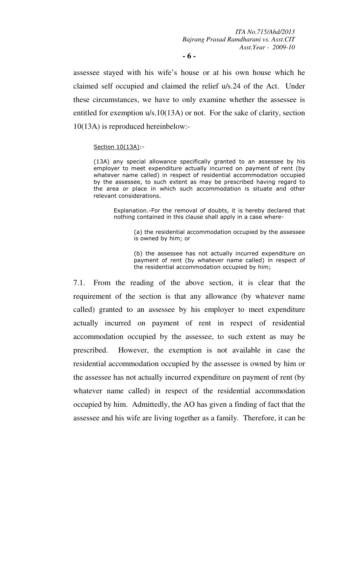**- 6 -** 

assessee stayed with his wife's house or at his own house which he claimed self occupied and claimed the relief u/s.24 of the Act. Under these circumstances, we have to only examine whether the assessee is entitled for exemption u/s.10(13A) or not. For the sake of clarity, section 10(13A) is reproduced hereinbelow:-

### Section 10(13A):-

(13A) any special allowance specifically granted to an assessee by his employer to meet expenditure actually incurred on payment of rent (by whatever name called) in respect of residential accommodation occupied by the assessee, to such extent as may be prescribed having regard to the area or place in which such accommodation is situate and other relevant considerations.

Explanation.-For the removal of doubts, it is hereby declared that nothing contained in this clause shall apply in a case where-

> (a) the residential accommodation occupied by the assessee is owned by him; or

> (b) the assessee has not actually incurred expenditure on payment of rent (by whatever name called) in respect of the residential accommodation occupied by him;

7.1. From the reading of the above section, it is clear that the requirement of the section is that any allowance (by whatever name called) granted to an assessee by his employer to meet expenditure actually incurred on payment of rent in respect of residential accommodation occupied by the assessee, to such extent as may be prescribed. However, the exemption is not available in case the residential accommodation occupied by the assessee is owned by him or the assessee has not actually incurred expenditure on payment of rent (by whatever name called) in respect of the residential accommodation occupied by him. Admittedly, the AO has given a finding of fact that the assessee and his wife are living together as a family. Therefore, it can be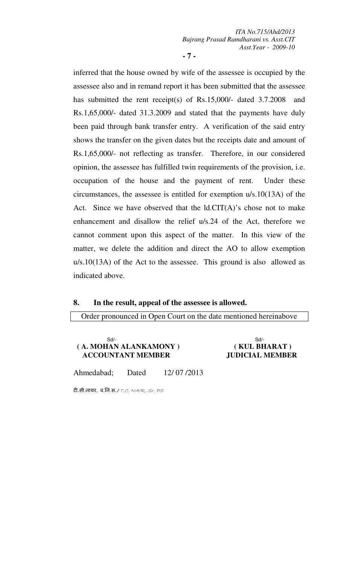**- 7 -** 

inferred that the house owned by wife of the assessee is occupied by the assessee also and in remand report it has been submitted that the assessee has submitted the rent receipt(s) of Rs.15,000/- dated 3.7.2008 and Rs.1,65,000/- dated 31.3.2009 and stated that the payments have duly been paid through bank transfer entry. A verification of the said entry shows the transfer on the given dates but the receipts date and amount of Rs.1,65,000/- not reflecting as transfer. Therefore, in our considered opinion, the assessee has fulfilled twin requirements of the provision, i.e. occupation of the house and the payment of rent. Under these circumstances, the assessee is entitled for exemption u/s.10(13A) of the Act. Since we have observed that the ld.CIT(A)'s chose not to make enhancement and disallow the relief u/s.24 of the Act, therefore we cannot comment upon this aspect of the matter. In this view of the matter, we delete the addition and direct the AO to allow exemption u/s.10(13A) of the Act to the assessee. This ground is also allowed as indicated above.

## **8. In the result, appeal of the assessee is allowed.**

Order pronounced in Open Court on the date mentioned hereinabove

#### Sd/- Sd/-  **( A. MOHAN ALANKAMONY ) ( KUL BHARAT ) ACCOUNTANT MEMBER JUDICIAL MEMBER**

Ahmedabad; Dated 12/ 07 /2013

टी.सी.नायर, व.नि.स./ T.C. NAIR, Sr. PS